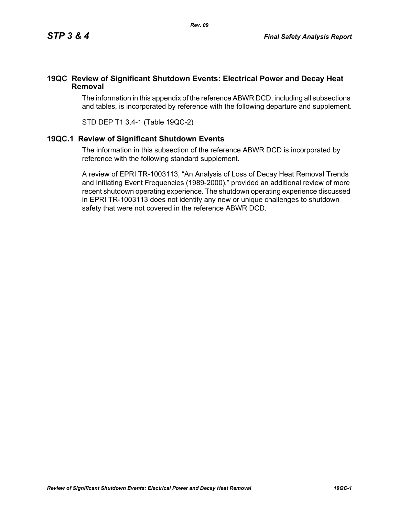## **19QC Review of Significant Shutdown Events: Electrical Power and Decay Heat Removal**

The information in this appendix of the reference ABWR DCD, including all subsections and tables, is incorporated by reference with the following departure and supplement.

STD DEP T1 3.4-1 (Table 19QC-2)

## **19QC.1 Review of Significant Shutdown Events**

The information in this subsection of the reference ABWR DCD is incorporated by reference with the following standard supplement.

A review of EPRI TR-1003113, "An Analysis of Loss of Decay Heat Removal Trends and Initiating Event Frequencies (1989-2000)," provided an additional review of more recent shutdown operating experience. The shutdown operating experience discussed in EPRI TR-1003113 does not identify any new or unique challenges to shutdown safety that were not covered in the reference ABWR DCD.